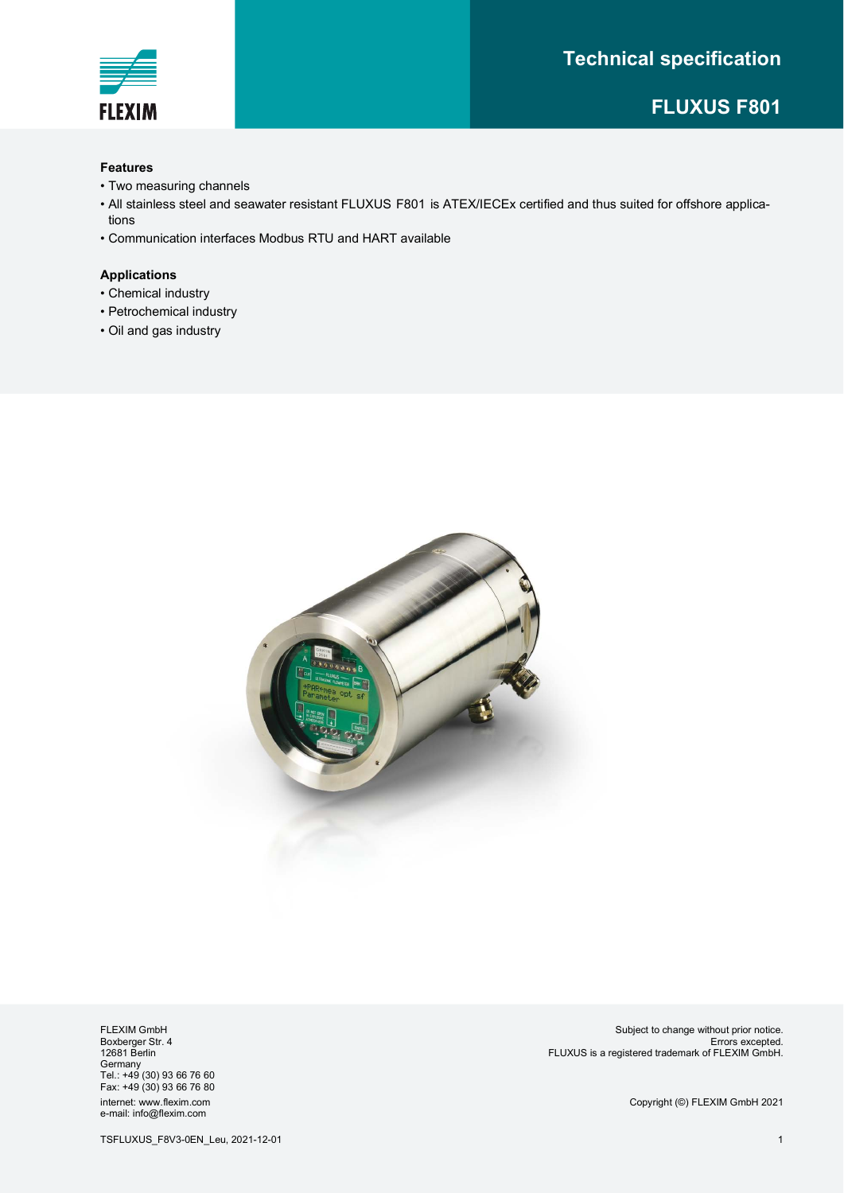# **Technical specification**



# **FLUXUS F801**

#### **Features**

- Two measuring channels
- $\bullet$  All stainless steel and seawater resistant FLUXUS F801 is ATEX/IECEx certified and thus suited for offshore applications
- Communication interfaces Modbus RTU and HART available

#### **Applications**

- Chemical industry
- Petrochemical industry
- Oil and gas industry



FLEXIM GmbH Boxberger Str. 4 12681 Berlin Germany Tel.: +49 (30) 93 66 76 60 Fax: +49 (30) 93 66 76 80 internet: www.flexim.com e-mail: info@flexim.com

Subject to change without prior notice. Errors excepted. FLUXUS is a registered trademark of FLEXIM GmbH.

Copyright (©) FLEXIM GmbH 2021

TSFLUXUS\_F8V3-0EN\_Leu, 2021-12-01 1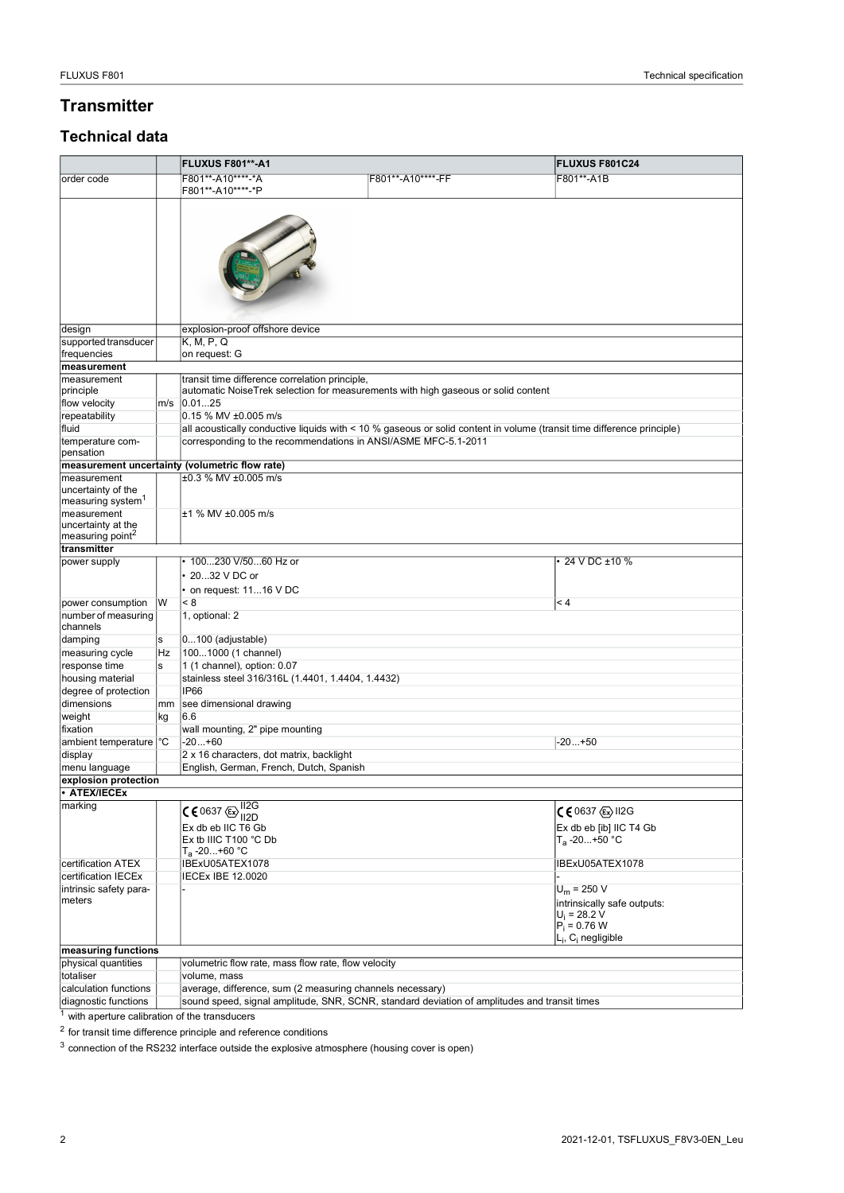# **Transmitter**

# **Technical data**

|                                              |    | FLUXUS F801**-A1                                          |                                                                                                                        | <b>FLUXUS F801C24</b>     |  |  |  |  |  |
|----------------------------------------------|----|-----------------------------------------------------------|------------------------------------------------------------------------------------------------------------------------|---------------------------|--|--|--|--|--|
| order code                                   |    | F801**-A10****-*A                                         | F801**-A10****-FF                                                                                                      | F801**-A1B                |  |  |  |  |  |
|                                              |    | F801**-A10****-*P                                         |                                                                                                                        |                           |  |  |  |  |  |
|                                              |    |                                                           |                                                                                                                        |                           |  |  |  |  |  |
|                                              |    |                                                           |                                                                                                                        |                           |  |  |  |  |  |
|                                              |    |                                                           |                                                                                                                        |                           |  |  |  |  |  |
|                                              |    |                                                           |                                                                                                                        |                           |  |  |  |  |  |
|                                              |    |                                                           |                                                                                                                        |                           |  |  |  |  |  |
|                                              |    |                                                           |                                                                                                                        |                           |  |  |  |  |  |
|                                              |    |                                                           |                                                                                                                        |                           |  |  |  |  |  |
|                                              |    |                                                           |                                                                                                                        |                           |  |  |  |  |  |
|                                              |    |                                                           |                                                                                                                        |                           |  |  |  |  |  |
| design<br>supported transducer               |    | explosion-proof offshore device<br>K, M, P, Q             |                                                                                                                        |                           |  |  |  |  |  |
| frequencies                                  |    | on request: G                                             |                                                                                                                        |                           |  |  |  |  |  |
| measurement                                  |    |                                                           |                                                                                                                        |                           |  |  |  |  |  |
| measurement                                  |    | transit time difference correlation principle,            |                                                                                                                        |                           |  |  |  |  |  |
| principle                                    |    |                                                           | automatic NoiseTrek selection for measurements with high gaseous or solid content                                      |                           |  |  |  |  |  |
| flow velocity                                |    | m/s 0.0125                                                |                                                                                                                        |                           |  |  |  |  |  |
| repeatability                                |    | 0.15 % MV ±0.005 m/s                                      |                                                                                                                        |                           |  |  |  |  |  |
| fluid                                        |    |                                                           | all acoustically conductive liquids with < 10 % gaseous or solid content in volume (transit time difference principle) |                           |  |  |  |  |  |
| temperature com-                             |    |                                                           | corresponding to the recommendations in ANSI/ASME MFC-5.1-2011                                                         |                           |  |  |  |  |  |
| pensation                                    |    | measurement uncertainty (volumetric flow rate)            |                                                                                                                        |                           |  |  |  |  |  |
| measurement                                  |    | ±0.3 % MV ±0.005 m/s                                      |                                                                                                                        |                           |  |  |  |  |  |
| uncertainty of the                           |    |                                                           |                                                                                                                        |                           |  |  |  |  |  |
| measuring system <sup>1</sup>                |    |                                                           |                                                                                                                        |                           |  |  |  |  |  |
| measurement                                  |    | ±1 % MV ±0.005 m/s                                        |                                                                                                                        |                           |  |  |  |  |  |
| uncertainty at the                           |    |                                                           |                                                                                                                        |                           |  |  |  |  |  |
| measuring point <sup>2</sup><br>transmitter  |    |                                                           |                                                                                                                        |                           |  |  |  |  |  |
| power supply                                 |    | 100230 V/5060 Hz or                                       |                                                                                                                        | 24 V DC ±10 %             |  |  |  |  |  |
|                                              |    | 2032 V DC or                                              |                                                                                                                        |                           |  |  |  |  |  |
|                                              |    | • on request: 1116 V DC                                   |                                                                                                                        |                           |  |  |  |  |  |
| power consumption                            | IW | < 8                                                       |                                                                                                                        | $\leq 4$                  |  |  |  |  |  |
| number of measuring                          |    | 1, optional: 2                                            |                                                                                                                        |                           |  |  |  |  |  |
| channels                                     |    |                                                           |                                                                                                                        |                           |  |  |  |  |  |
| damping                                      | s  | $0100$ (adjustable)                                       |                                                                                                                        |                           |  |  |  |  |  |
| measuring cycle                              | Hz | 1001000 (1 channel)                                       |                                                                                                                        |                           |  |  |  |  |  |
| response time                                | s  | 1 (1 channel), option: 0.07                               |                                                                                                                        |                           |  |  |  |  |  |
| housing material                             |    | stainless steel 316/316L (1.4401, 1.4404, 1.4432)         |                                                                                                                        |                           |  |  |  |  |  |
| degree of protection<br>dimensions           | mm | <b>IP66</b><br>see dimensional drawing                    |                                                                                                                        |                           |  |  |  |  |  |
| weight                                       | kg | 6.6                                                       |                                                                                                                        |                           |  |  |  |  |  |
| fixation                                     |    | wall mounting, 2" pipe mounting                           |                                                                                                                        |                           |  |  |  |  |  |
| ambient temperature <sup>o</sup> C           |    | $-20+60$                                                  |                                                                                                                        | $-20+50$                  |  |  |  |  |  |
| display                                      |    | 2 x 16 characters, dot matrix, backlight                  |                                                                                                                        |                           |  |  |  |  |  |
| menu language                                |    | English, German, French, Dutch, Spanish                   |                                                                                                                        |                           |  |  |  |  |  |
| explosion protection                         |    |                                                           |                                                                                                                        |                           |  |  |  |  |  |
| <b>ATEX/IECEx</b>                            |    |                                                           |                                                                                                                        |                           |  |  |  |  |  |
| marking                                      |    | $C$ 60637 $\bigoplus_{112}^{112G}$                        |                                                                                                                        | C 6 0637 (Ex) II2G        |  |  |  |  |  |
|                                              |    | Ex db eb IIC T6 Gb                                        |                                                                                                                        | Ex db eb [ib] IIC T4 Gb   |  |  |  |  |  |
|                                              |    | Ex tb IIIC T100 °C Db                                     |                                                                                                                        | T <sub>a</sub> -20…+50 °C |  |  |  |  |  |
|                                              |    | T <sub>a</sub> -20…+60 °C                                 |                                                                                                                        |                           |  |  |  |  |  |
| certification ATEX                           |    | IBExU05ATEX1078                                           |                                                                                                                        | IBExU05ATEX1078           |  |  |  |  |  |
| certification IECEx                          |    | <b>IECEx IBE 12.0020</b>                                  |                                                                                                                        |                           |  |  |  |  |  |
| intrinsic safety para-                       |    | $U_m = 250 V$                                             |                                                                                                                        |                           |  |  |  |  |  |
| meters                                       |    | intrinsically safe outputs:                               |                                                                                                                        |                           |  |  |  |  |  |
|                                              |    | $U_i = 28.2 V$<br>$P_i = 0.76 W$                          |                                                                                                                        |                           |  |  |  |  |  |
|                                              |    | <sub>–i</sub> , C <sub>i</sub> negligible                 |                                                                                                                        |                           |  |  |  |  |  |
| measuring functions                          |    |                                                           |                                                                                                                        |                           |  |  |  |  |  |
| physical quantities                          |    | volumetric flow rate, mass flow rate, flow velocity       |                                                                                                                        |                           |  |  |  |  |  |
| totaliser                                    |    | volume, mass                                              |                                                                                                                        |                           |  |  |  |  |  |
| calculation functions                        |    | average, difference, sum (2 measuring channels necessary) |                                                                                                                        |                           |  |  |  |  |  |
| diagnostic functions                         |    |                                                           | sound speed, signal amplitude, SNR, SCNR, standard deviation of amplitudes and transit times                           |                           |  |  |  |  |  |
| with aperture calibration of the transducers |    |                                                           |                                                                                                                        |                           |  |  |  |  |  |

 $^2$  for transit time difference principle and reference conditions

<sup>3</sup> connection of the RS232 interface outside the explosive atmosphere (housing cover is open)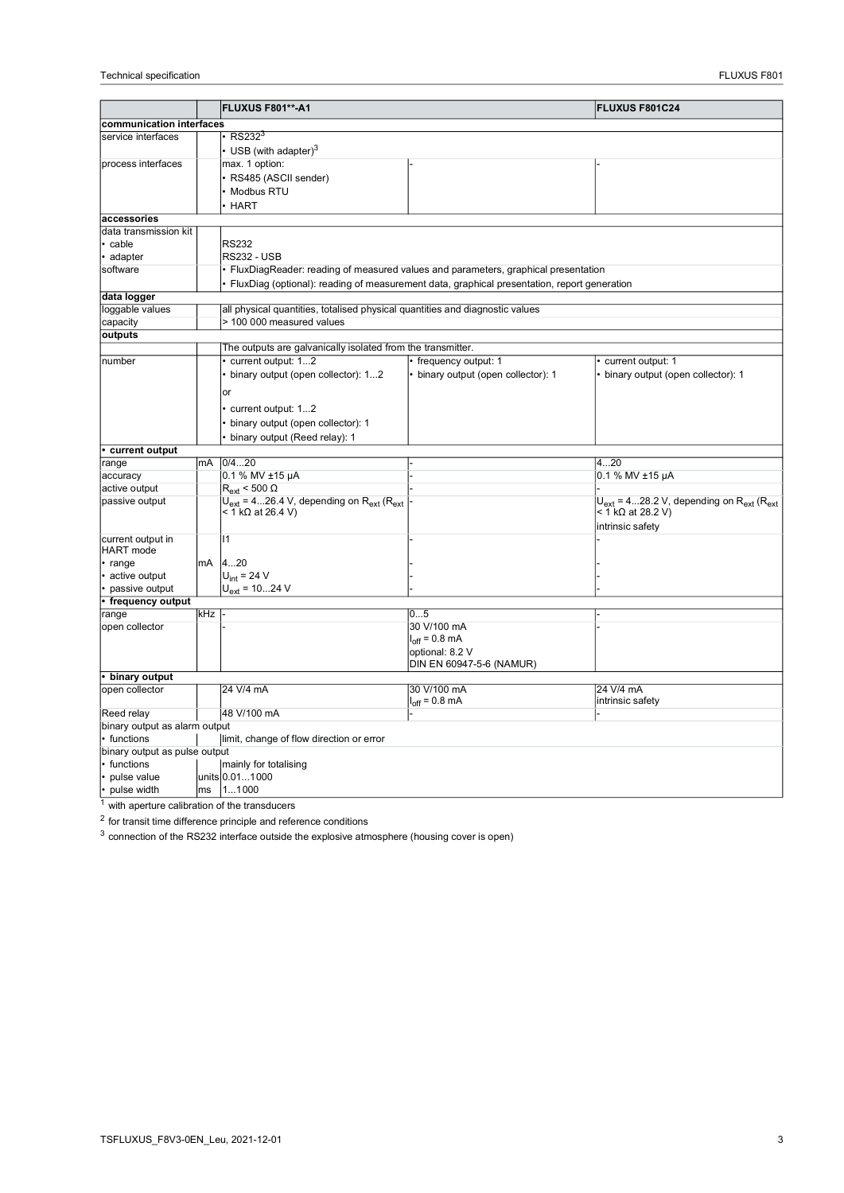|                               |     | <b>FLUXUS F801**-A1</b>                                                      |                                                                                             | <b>FLUXUS F801C24</b>                                   |  |  |  |
|-------------------------------|-----|------------------------------------------------------------------------------|---------------------------------------------------------------------------------------------|---------------------------------------------------------|--|--|--|
| communication interfaces      |     |                                                                              |                                                                                             |                                                         |  |  |  |
| service interfaces            |     | RS232 <sup>3</sup>                                                           |                                                                                             |                                                         |  |  |  |
|                               |     | USB (with adapter) $3$                                                       |                                                                                             |                                                         |  |  |  |
| process interfaces            |     | max. 1 option:                                                               |                                                                                             |                                                         |  |  |  |
|                               |     |                                                                              |                                                                                             |                                                         |  |  |  |
|                               |     | RS485 (ASCII sender)                                                         |                                                                                             |                                                         |  |  |  |
|                               |     | Modbus RTU                                                                   |                                                                                             |                                                         |  |  |  |
|                               |     | <b>HART</b>                                                                  |                                                                                             |                                                         |  |  |  |
| accessories                   |     |                                                                              |                                                                                             |                                                         |  |  |  |
| data transmission kit         |     |                                                                              |                                                                                             |                                                         |  |  |  |
| cable                         |     | <b>RS232</b>                                                                 |                                                                                             |                                                         |  |  |  |
| · adapter                     |     | <b>RS232 - USB</b>                                                           |                                                                                             |                                                         |  |  |  |
| software                      |     |                                                                              | FluxDiagReader: reading of measured values and parameters, graphical presentation           |                                                         |  |  |  |
|                               |     |                                                                              | FluxDiag (optional): reading of measurement data, graphical presentation, report generation |                                                         |  |  |  |
| data logger                   |     |                                                                              |                                                                                             |                                                         |  |  |  |
| loggable values               |     | all physical quantities, totalised physical quantities and diagnostic values |                                                                                             |                                                         |  |  |  |
| capacity                      |     | > 100 000 measured values                                                    |                                                                                             |                                                         |  |  |  |
| outputs                       |     |                                                                              |                                                                                             |                                                         |  |  |  |
|                               |     | The outputs are galvanically isolated from the transmitter.                  |                                                                                             |                                                         |  |  |  |
| number                        |     | current output: 12                                                           | frequency output: 1                                                                         | current output: 1                                       |  |  |  |
|                               |     | binary output (open collector): 12                                           | binary output (open collector): 1                                                           | binary output (open collector): 1                       |  |  |  |
|                               |     | or                                                                           |                                                                                             |                                                         |  |  |  |
|                               |     | current output: 12                                                           |                                                                                             |                                                         |  |  |  |
|                               |     | binary output (open collector): 1                                            |                                                                                             |                                                         |  |  |  |
|                               |     | binary output (Reed relay): 1                                                |                                                                                             |                                                         |  |  |  |
| current output                |     |                                                                              |                                                                                             |                                                         |  |  |  |
| range                         | mA  | 0/420                                                                        |                                                                                             | 420                                                     |  |  |  |
| accuracy                      |     | 0.1 % MV ±15 µA                                                              |                                                                                             | $0.1$ % MV $\pm$ 15 µA                                  |  |  |  |
| active output                 |     | $R_{\text{ext}}$ < 500 $\Omega$                                              |                                                                                             |                                                         |  |  |  |
| passive output                |     | $U_{ext}$ = 426.4 V, depending on $R_{ext}$ ( $R_{ext}$                      |                                                                                             | $U_{ext}$ = 428.2 V, depending on $R_{ext}$ ( $R_{ext}$ |  |  |  |
|                               |     | < 1 kΩ at 26.4 V)                                                            |                                                                                             | < 1 kΩ at 28.2 V)                                       |  |  |  |
|                               |     |                                                                              |                                                                                             | intrinsic safety                                        |  |  |  |
| current output in             |     | $\mathsf{I}$                                                                 |                                                                                             |                                                         |  |  |  |
| <b>HART</b> mode              |     |                                                                              |                                                                                             |                                                         |  |  |  |
| · range                       | mA  | 420                                                                          |                                                                                             |                                                         |  |  |  |
| • active output               |     | $U_{int}$ = 24 V                                                             |                                                                                             |                                                         |  |  |  |
| passive output                |     | $U_{ext}$ = 1024 V                                                           |                                                                                             |                                                         |  |  |  |
| • frequency output            |     |                                                                              |                                                                                             |                                                         |  |  |  |
| range                         | kHz |                                                                              | 05                                                                                          |                                                         |  |  |  |
| open collector                |     |                                                                              | 30 V/100 mA                                                                                 |                                                         |  |  |  |
|                               |     |                                                                              | $I_{off} = 0.8$ mA                                                                          |                                                         |  |  |  |
|                               |     |                                                                              | optional: 8.2 V                                                                             |                                                         |  |  |  |
|                               |     |                                                                              | DIN EN 60947-5-6 (NAMUR)                                                                    |                                                         |  |  |  |
| • binary output               |     |                                                                              |                                                                                             |                                                         |  |  |  |
| open collector                |     | 24 V/4 mA                                                                    | 30 V/100 mA                                                                                 | 24 V/4 mA                                               |  |  |  |
| Reed relay                    |     | 48 V/100 mA                                                                  | $I_{off}$ = 0.8 mA                                                                          | intrinsic safety                                        |  |  |  |
| binary output as alarm output |     |                                                                              |                                                                                             |                                                         |  |  |  |
| • functions                   |     | limit, change of flow direction or error                                     |                                                                                             |                                                         |  |  |  |
| binary output as pulse output |     |                                                                              |                                                                                             |                                                         |  |  |  |
| • functions                   |     | mainly for totalising                                                        |                                                                                             |                                                         |  |  |  |
| pulse value                   |     | units 0.011000                                                               |                                                                                             |                                                         |  |  |  |
| pulse width                   |     | ms 11000                                                                     |                                                                                             |                                                         |  |  |  |
|                               |     |                                                                              |                                                                                             |                                                         |  |  |  |

<sup>1</sup> with aperture calibration of the transducers

<sup>2</sup> for transit time difference principle and reference conditions

3 connection of the RS232 interface outside the explosive atmosphere (housing cover is open)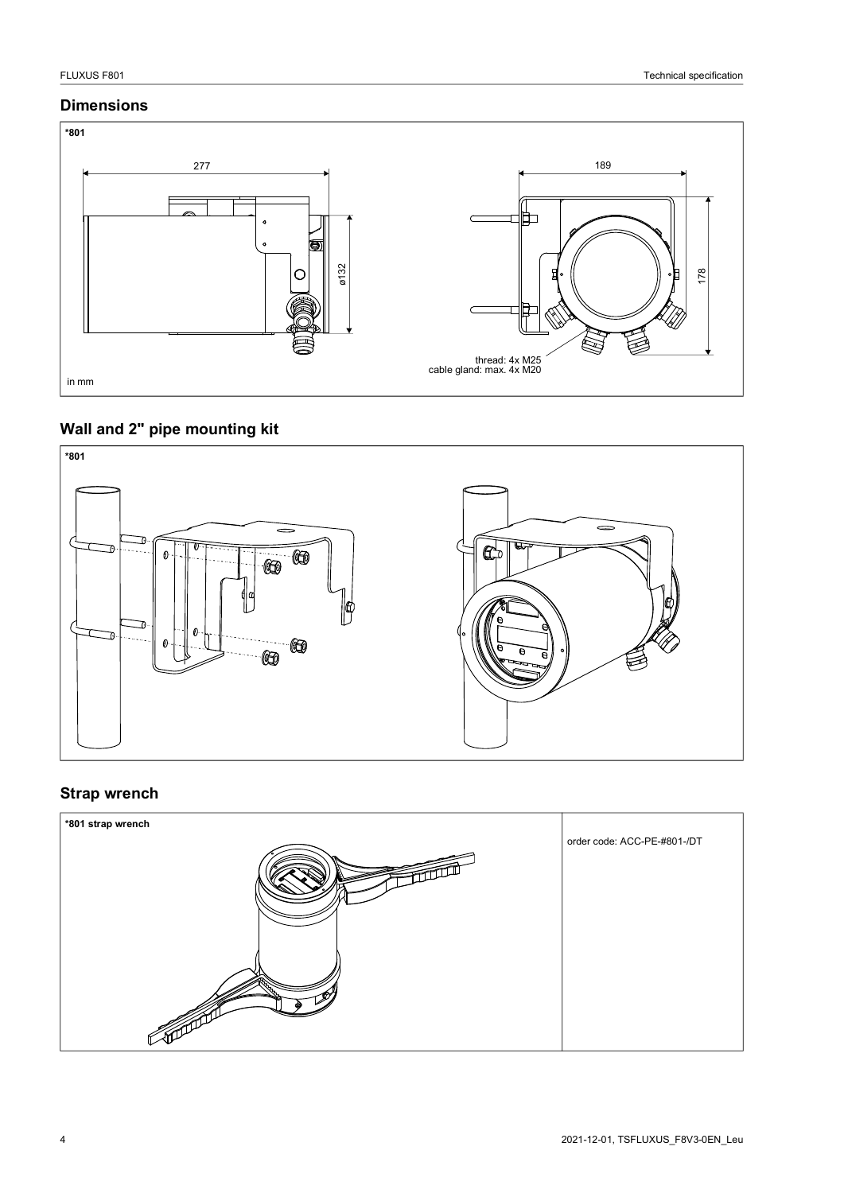### **Dimensions**



# **Wall and 2" pipe mounting kit**



## **Strap wrench**

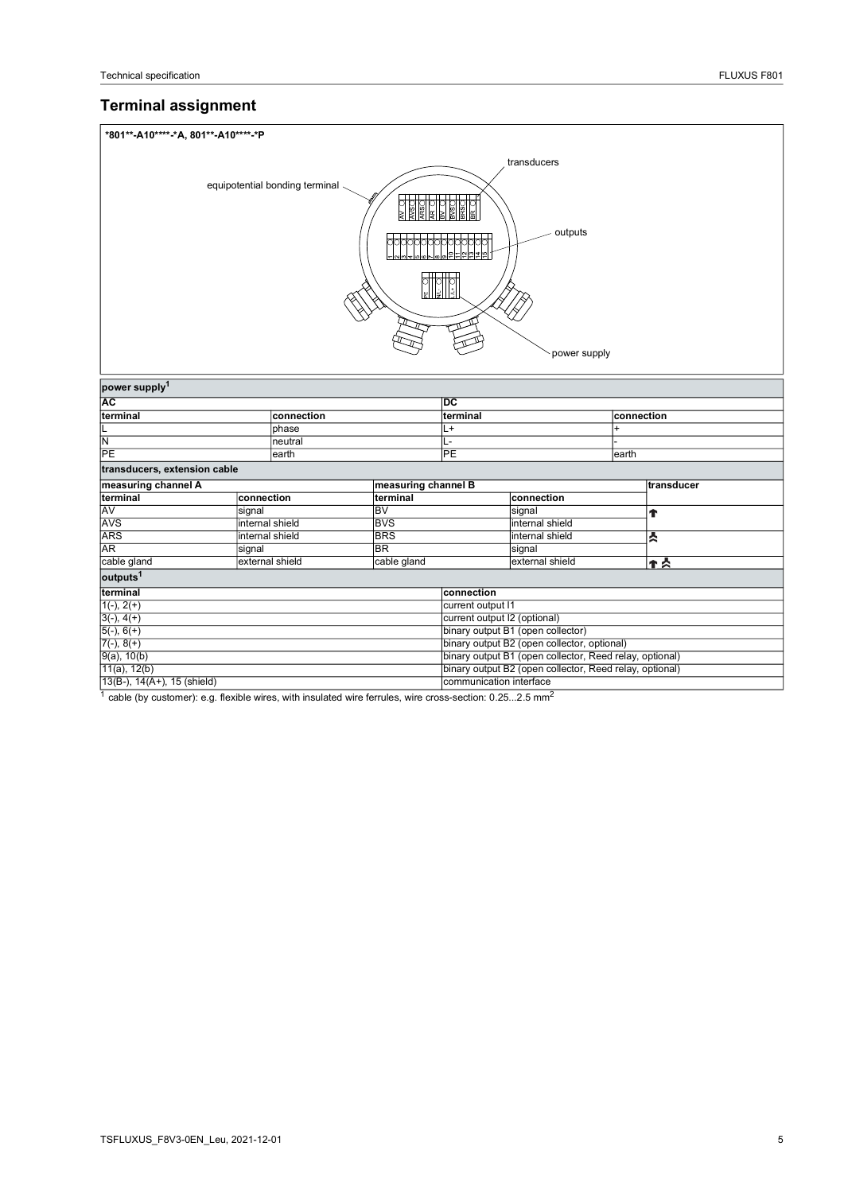# **Terminal assignment**

| *801**-A10****-*A, 801**-A10****-*P |                                                         |                            |                                   |                         |            |            |  |
|-------------------------------------|---------------------------------------------------------|----------------------------|-----------------------------------|-------------------------|------------|------------|--|
| transducers                         |                                                         |                            |                                   |                         |            |            |  |
|                                     | equipotential bonding terminal                          | बाह्यसम्बद्धा<br>वैषेषीयपि | <b>DOM</b><br>ROD                 | outputs<br>power supply |            |            |  |
| power supply <sup>1</sup>           |                                                         |                            |                                   |                         |            |            |  |
| AC<br>terminal                      |                                                         |                            | DC                                |                         |            |            |  |
|                                     | connection                                              |                            | terminal                          |                         | connection |            |  |
| L                                   | phase                                                   |                            | L+                                |                         | $\ddot{}$  |            |  |
| $\frac{N}{PE}$                      | neutral                                                 |                            | L-                                |                         |            |            |  |
|                                     | earth                                                   |                            | $\overline{PE}$                   |                         | earth      |            |  |
| transducers, extension cable        |                                                         |                            |                                   |                         |            |            |  |
| measuring channel A                 |                                                         | measuring channel B        |                                   |                         |            | transducer |  |
| terminal                            | connection                                              | terminal                   |                                   | connection              |            |            |  |
| AV                                  | signal                                                  | <b>BV</b>                  |                                   | signal                  |            | Ť          |  |
| AVS                                 | internal shield                                         | <b>BVS</b>                 |                                   | internal shield         |            |            |  |
| <b>ARS</b>                          | <b>BRS</b><br>internal shield                           |                            |                                   | internal shield         |            | й          |  |
| AR                                  | <b>BR</b><br>signal                                     |                            |                                   | signal                  |            |            |  |
| cable gland                         | external shield                                         | cable gland                |                                   | external shield         |            | ተጵ         |  |
| outputs <sup>1</sup>                |                                                         |                            |                                   |                         |            |            |  |
| terminal                            |                                                         |                            | connection                        |                         |            |            |  |
|                                     |                                                         |                            | current output I1                 |                         |            |            |  |
| $\frac{1(-), 2(+)}{3(-), 4(+)}$     |                                                         |                            | current output I2 (optional)      |                         |            |            |  |
| $5(-), 6(+)$                        |                                                         |                            | binary output B1 (open collector) |                         |            |            |  |
| $\frac{7(-), 8(+)}{9(a), 10(b)}$    | binary output B2 (open collector, optional)             |                            |                                   |                         |            |            |  |
|                                     | binary output B1 (open collector, Reed relay, optional) |                            |                                   |                         |            |            |  |
| $11(a)$ , $12(b)$                   | binary output B2 (open collector, Reed relay, optional) |                            |                                   |                         |            |            |  |
| $13(B-), 14(A+), 15$ (shield)       |                                                         |                            | communication interface           |                         |            |            |  |

1 cable (by customer): e.g. flexible wires, with insulated wire ferrules, wire cross-section: 0.25...2.5 mm<sup>2</sup>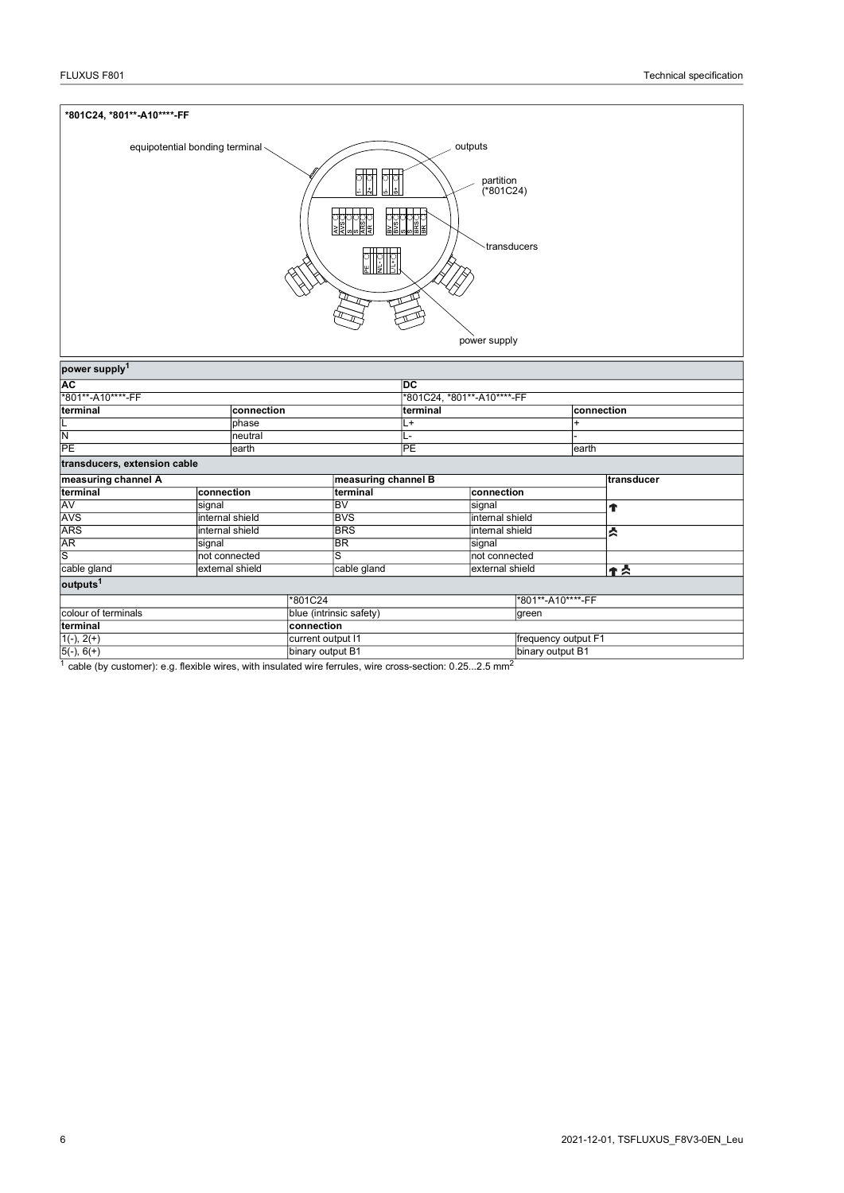| *801C24, *801**-A10****-FF                                                                                                           |                                  |                                        |                      |                   |                     |            |  |
|--------------------------------------------------------------------------------------------------------------------------------------|----------------------------------|----------------------------------------|----------------------|-------------------|---------------------|------------|--|
| outputs<br>equipotential bonding terminal<br>$\frac{1}{2}$<br>partition<br>(*801C24)<br>transducers<br>$\frac{1}{2}$<br>power supply |                                  |                                        |                      |                   |                     |            |  |
| power supply <sup>1</sup><br><b>AC</b>                                                                                               |                                  |                                        | ĪЮ                   |                   |                     |            |  |
| *801**-A10****-FF                                                                                                                    |                                  |                                        |                      |                   |                     |            |  |
| terminal                                                                                                                             | connection                       | *801C24, *801**-A10****-FF<br>terminal |                      |                   |                     | connection |  |
| L                                                                                                                                    | phase                            | L+                                     |                      |                   | $\ddot{}$           |            |  |
| N                                                                                                                                    | neutral                          | L-                                     |                      |                   |                     |            |  |
| PE                                                                                                                                   | earth                            | <b>PE</b>                              |                      | earth             |                     |            |  |
|                                                                                                                                      |                                  |                                        |                      |                   |                     |            |  |
| transducers, extension cable                                                                                                         |                                  |                                        |                      |                   |                     |            |  |
| measuring channel A                                                                                                                  |                                  |                                        | measuring channel B  |                   |                     | transducer |  |
| terminal                                                                                                                             | connection                       | terminal                               |                      | connection        |                     |            |  |
| AV                                                                                                                                   | signal                           | BV                                     |                      | signal            |                     | Ť          |  |
| AVS                                                                                                                                  | internal shield                  |                                        | <b>BVS</b>           |                   | internal shield     |            |  |
| <b>ARS</b>                                                                                                                           | internal shield                  |                                        | <b>BRS</b><br>signal |                   | internal shield     | й          |  |
| AR                                                                                                                                   | signal                           |                                        | BR                   |                   |                     |            |  |
| S                                                                                                                                    | not connected                    |                                        | S                    |                   | not connected       |            |  |
| cable gland<br>external shield                                                                                                       |                                  | cable gland<br>external shield         |                      | ተ<br>አ            |                     |            |  |
| outputs <sup>1</sup>                                                                                                                 |                                  |                                        |                      |                   |                     |            |  |
|                                                                                                                                      | *801C24                          |                                        |                      | *801**-A10****-FF |                     |            |  |
| colour of terminals                                                                                                                  | blue (intrinsic safety)<br>green |                                        |                      |                   |                     |            |  |
| terminal                                                                                                                             | connection                       |                                        |                      |                   |                     |            |  |
| $1(-), 2(+)$                                                                                                                         |                                  | current output I1                      |                      |                   | frequency output F1 |            |  |
| $5(-), 6(+)$                                                                                                                         |                                  | binary output B1                       |                      |                   | binary output B1    |            |  |

<sup>1</sup> cable (by customer): e.g. flexible wires, with insulated wire ferrules, wire cross-section: 0.25...2.5 mm<sup>2</sup>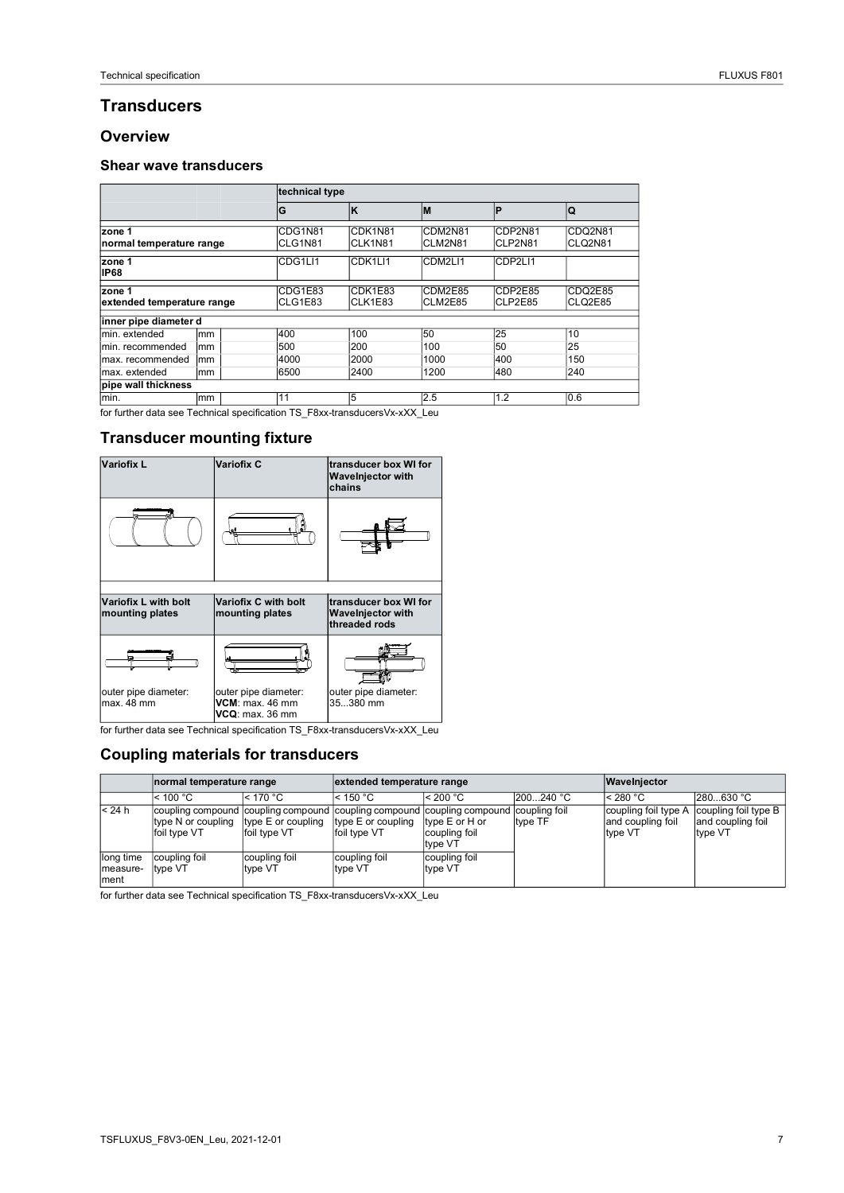## **Transducers**

#### **Overview**

#### **Shear wave transducers**

|                                      |                    |                    | technical type      |                    |                    |                    |  |  |
|--------------------------------------|--------------------|--------------------|---------------------|--------------------|--------------------|--------------------|--|--|
|                                      | G                  | Ιĸ                 | İМ                  | Þ                  | lQ                 |                    |  |  |
| zone 1<br>normal temperature range   | CDG1N81<br>CLG1N81 | CDK1N81<br>CLK1N81 | CDM2N81<br>CLM2N81  | CDP2N81<br>CLP2N81 | CDQ2N81<br>CLQ2N81 |                    |  |  |
| zone 1<br><b>IP68</b>                |                    | CDG1LI1            | CDK <sub>1LI1</sub> | CDM2LI1            | CDP2LI1            |                    |  |  |
| zone 1<br>extended temperature range |                    | CDG1E83<br>CLG1E83 | CDK1E83<br>CLK1E83  | CDM2E85<br>CLM2E85 | CDP2E85<br>CLP2E85 | CDQ2E85<br>CLQ2E85 |  |  |
| inner pipe diameter d                |                    |                    |                     |                    |                    |                    |  |  |
| min, extended                        | mm                 | 400                | 100                 | 50                 | 25                 | 10                 |  |  |
| min. recommended                     | mm                 | 500                | 200                 | 100                | 50                 | 25                 |  |  |
| max. recommended                     | mm                 |                    | 2000                | 1000               | 400                | 150                |  |  |
| max. extended<br>mm                  |                    | 6500               | 2400                | 1200               | 480                | 240                |  |  |
| pipe wall thickness                  |                    |                    |                     |                    |                    |                    |  |  |
| min.                                 | mm                 | 11                 | 5                   | 2.5                | 1.2                | 0.6                |  |  |

for further data see Technical specification TS\_F8xx-transducersVx-xXX\_Leu

### **Transducer mounting fixture**



for further data see Technical specification TS\_F8xx-transducersVx-xXX\_Leu

### **Coupling materials for transducers**

|                               | normal temperature range                                                                                                    |                                    | extended temperature range         |                                            |           | Wavelnjector                                         |                                                      |  |
|-------------------------------|-----------------------------------------------------------------------------------------------------------------------------|------------------------------------|------------------------------------|--------------------------------------------|-----------|------------------------------------------------------|------------------------------------------------------|--|
|                               | $<$ 100 °C                                                                                                                  | $<$ 170 °C                         | $<$ 150 °C                         | < 200 °C                                   | 200240 °C | $<$ 280 °C                                           | 280630 °C                                            |  |
| < 24 h                        | coupling compound coupling compound coupling compound coupling compound coupling foil<br>type N or coupling<br>foil type VT | type E or coupling<br>foil type VT | type E or coupling<br>foil type VT | type E or H or<br>coupling foil<br>type VT | type TF   | coupling foil type A<br>and coupling foil<br>type VT | coupling foil type B<br>and coupling foil<br>type VT |  |
| long time<br>measure-<br>ment | coupling foil<br>type VT                                                                                                    | coupling foil<br>type VT           | coupling foil<br>type VT           | coupling foil<br>type VT                   |           |                                                      |                                                      |  |

for further data see Technical specification TS\_F8xx-transducersVx-xXX\_Leu